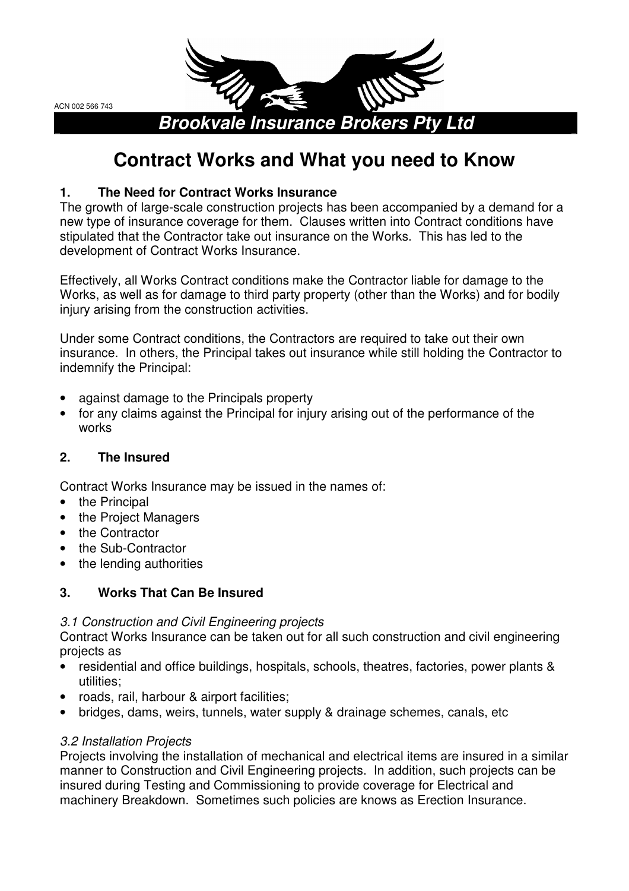ACN 002 566 743



# **Contract Works and What you need to Know**

# **1. The Need for Contract Works Insurance**

The growth of large-scale construction projects has been accompanied by a demand for a new type of insurance coverage for them. Clauses written into Contract conditions have stipulated that the Contractor take out insurance on the Works. This has led to the development of Contract Works Insurance.

Effectively, all Works Contract conditions make the Contractor liable for damage to the Works, as well as for damage to third party property (other than the Works) and for bodily injury arising from the construction activities.

Under some Contract conditions, the Contractors are required to take out their own insurance. In others, the Principal takes out insurance while still holding the Contractor to indemnify the Principal:

- against damage to the Principals property
- for any claims against the Principal for injury arising out of the performance of the works

# **2. The Insured**

Contract Works Insurance may be issued in the names of:

- the Principal
- the Project Managers
- the Contractor
- the Sub-Contractor
- the lending authorities

# **3. Works That Can Be Insured**

### 3.1 Construction and Civil Engineering projects

Contract Works Insurance can be taken out for all such construction and civil engineering projects as

- residential and office buildings, hospitals, schools, theatres, factories, power plants & utilities;
- roads, rail, harbour & airport facilities;
- bridges, dams, weirs, tunnels, water supply & drainage schemes, canals, etc

### 3.2 Installation Projects

Projects involving the installation of mechanical and electrical items are insured in a similar manner to Construction and Civil Engineering projects. In addition, such projects can be insured during Testing and Commissioning to provide coverage for Electrical and machinery Breakdown. Sometimes such policies are knows as Erection Insurance.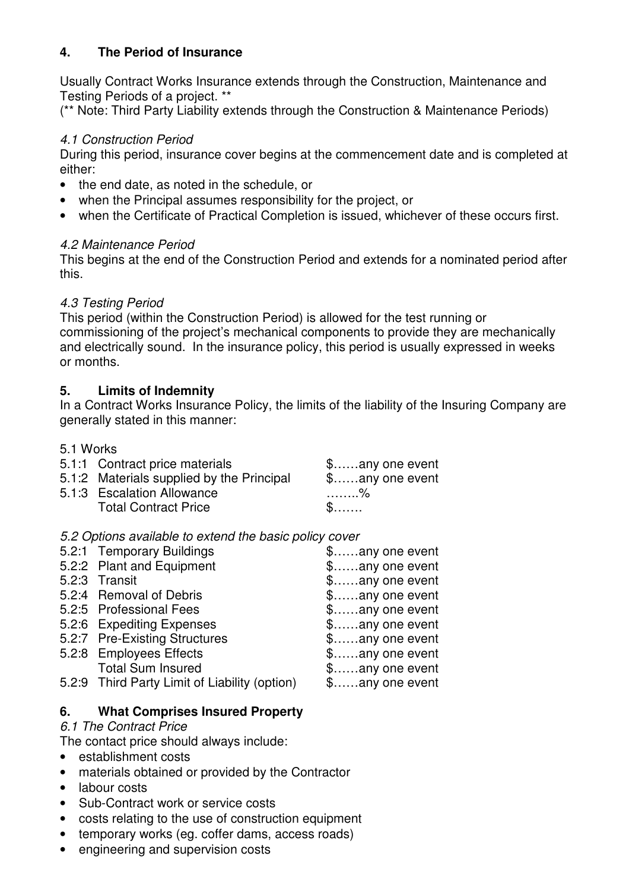### **4. The Period of Insurance**

Usually Contract Works Insurance extends through the Construction, Maintenance and Testing Periods of a project. \*\*

(\*\* Note: Third Party Liability extends through the Construction & Maintenance Periods)

### 4.1 Construction Period

During this period, insurance cover begins at the commencement date and is completed at either:

- the end date, as noted in the schedule, or
- when the Principal assumes responsibility for the project, or
- when the Certificate of Practical Completion is issued, whichever of these occurs first.

### 4.2 Maintenance Period

This begins at the end of the Construction Period and extends for a nominated period after this.

### 4.3 Testing Period

This period (within the Construction Period) is allowed for the test running or commissioning of the project's mechanical components to provide they are mechanically and electrically sound. In the insurance policy, this period is usually expressed in weeks or months.

### **5. Limits of Indemnity**

In a Contract Works Insurance Policy, the limits of the liability of the Insuring Company are generally stated in this manner:

5.1 Works

| 5.1:1 Contract price materials<br>5.1:2 Materials supplied by the Principal<br>5.1:3 Escalation Allowance | $\text{\$}$ any one event<br>$\text{\$}$ any one event<br>. % |
|-----------------------------------------------------------------------------------------------------------|---------------------------------------------------------------|
| <b>Total Contract Price</b>                                                                               | $\mathbb{S}$                                                  |

5.2 Options available to extend the basic policy cover

| 5.2:1 Temporary Buildings                     | \$any one event           |
|-----------------------------------------------|---------------------------|
| 5.2:2 Plant and Equipment                     | \$any one event           |
| 5.2:3 Transit                                 | $\text{\$}$ any one event |
| 5.2:4 Removal of Debris                       | $\text{\$}$ any one event |
| 5.2:5 Professional Fees                       | $\text{\$}$ any one event |
| 5.2:6 Expediting Expenses                     | $\text{\$}$ any one event |
| 5.2:7 Pre-Existing Structures                 | \$any one event           |
| 5.2:8 Employees Effects                       | $\text{\$}$ any one event |
| <b>Total Sum Insured</b>                      | $\text{\$}$ any one event |
| 5.2:9 Third Party Limit of Liability (option) | \$any one event           |
|                                               |                           |

### **6. What Comprises Insured Property**

### 6.1 The Contract Price

The contact price should always include:

- establishment costs
- materials obtained or provided by the Contractor
- labour costs
- Sub-Contract work or service costs
- costs relating to the use of construction equipment
- temporary works (eg. coffer dams, access roads)
- engineering and supervision costs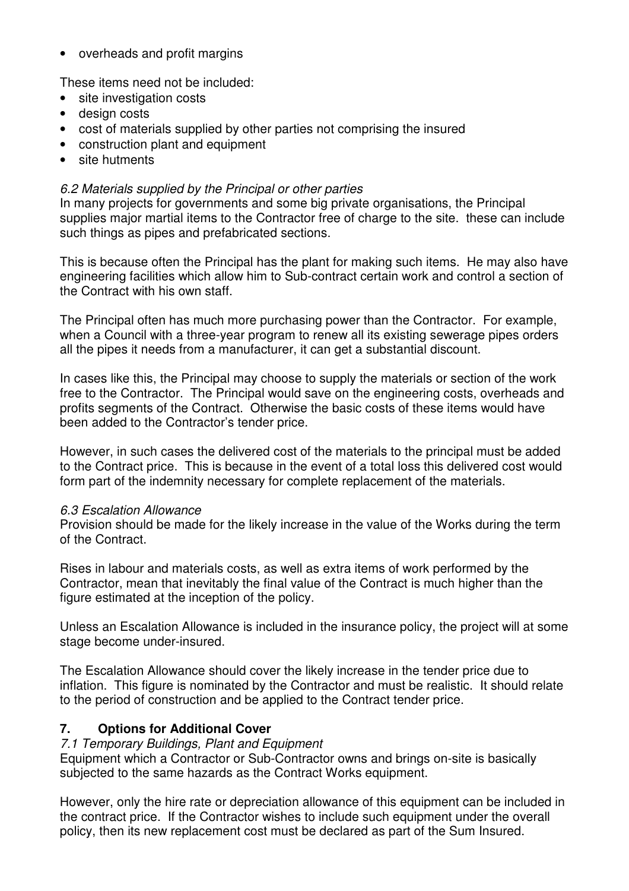• overheads and profit margins

These items need not be included:

- site investigation costs
- design costs
- cost of materials supplied by other parties not comprising the insured
- construction plant and equipment
- site hutments

#### 6.2 Materials supplied by the Principal or other parties

In many projects for governments and some big private organisations, the Principal supplies major martial items to the Contractor free of charge to the site. these can include such things as pipes and prefabricated sections.

This is because often the Principal has the plant for making such items. He may also have engineering facilities which allow him to Sub-contract certain work and control a section of the Contract with his own staff.

The Principal often has much more purchasing power than the Contractor. For example, when a Council with a three-year program to renew all its existing sewerage pipes orders all the pipes it needs from a manufacturer, it can get a substantial discount.

In cases like this, the Principal may choose to supply the materials or section of the work free to the Contractor. The Principal would save on the engineering costs, overheads and profits segments of the Contract. Otherwise the basic costs of these items would have been added to the Contractor's tender price.

However, in such cases the delivered cost of the materials to the principal must be added to the Contract price. This is because in the event of a total loss this delivered cost would form part of the indemnity necessary for complete replacement of the materials.

#### 6.3 Escalation Allowance

Provision should be made for the likely increase in the value of the Works during the term of the Contract.

Rises in labour and materials costs, as well as extra items of work performed by the Contractor, mean that inevitably the final value of the Contract is much higher than the figure estimated at the inception of the policy.

Unless an Escalation Allowance is included in the insurance policy, the project will at some stage become under-insured.

The Escalation Allowance should cover the likely increase in the tender price due to inflation. This figure is nominated by the Contractor and must be realistic. It should relate to the period of construction and be applied to the Contract tender price.

#### **7. Options for Additional Cover**

#### 7.1 Temporary Buildings, Plant and Equipment

Equipment which a Contractor or Sub-Contractor owns and brings on-site is basically subjected to the same hazards as the Contract Works equipment.

However, only the hire rate or depreciation allowance of this equipment can be included in the contract price. If the Contractor wishes to include such equipment under the overall policy, then its new replacement cost must be declared as part of the Sum Insured.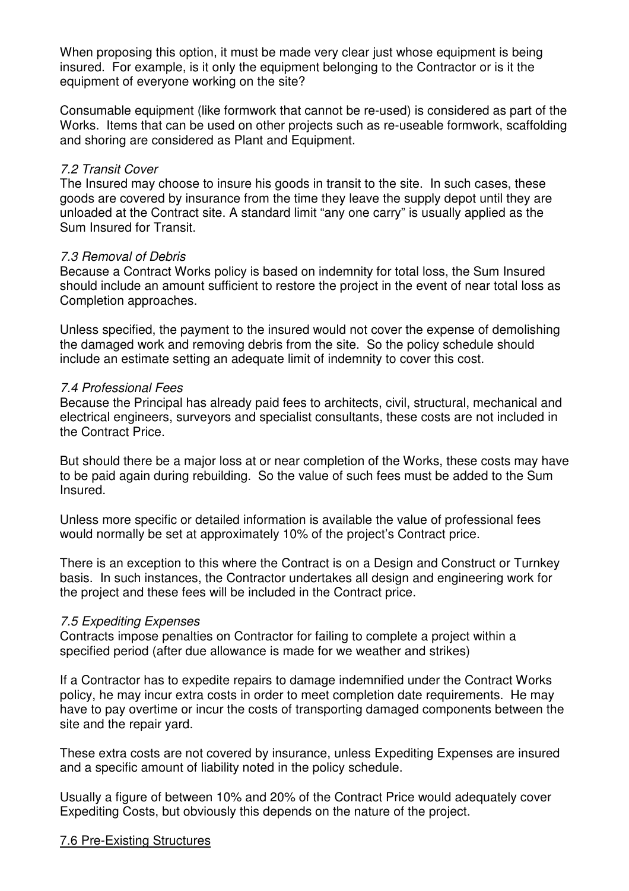When proposing this option, it must be made very clear just whose equipment is being insured. For example, is it only the equipment belonging to the Contractor or is it the equipment of everyone working on the site?

Consumable equipment (like formwork that cannot be re-used) is considered as part of the Works. Items that can be used on other projects such as re-useable formwork, scaffolding and shoring are considered as Plant and Equipment.

#### 7.2 Transit Cover

The Insured may choose to insure his goods in transit to the site. In such cases, these goods are covered by insurance from the time they leave the supply depot until they are unloaded at the Contract site. A standard limit "any one carry" is usually applied as the Sum Insured for Transit.

#### 7.3 Removal of Debris

Because a Contract Works policy is based on indemnity for total loss, the Sum Insured should include an amount sufficient to restore the project in the event of near total loss as Completion approaches.

Unless specified, the payment to the insured would not cover the expense of demolishing the damaged work and removing debris from the site. So the policy schedule should include an estimate setting an adequate limit of indemnity to cover this cost.

#### 7.4 Professional Fees

Because the Principal has already paid fees to architects, civil, structural, mechanical and electrical engineers, surveyors and specialist consultants, these costs are not included in the Contract Price.

But should there be a major loss at or near completion of the Works, these costs may have to be paid again during rebuilding. So the value of such fees must be added to the Sum Insured.

Unless more specific or detailed information is available the value of professional fees would normally be set at approximately 10% of the project's Contract price.

There is an exception to this where the Contract is on a Design and Construct or Turnkey basis. In such instances, the Contractor undertakes all design and engineering work for the project and these fees will be included in the Contract price.

#### 7.5 Expediting Expenses

Contracts impose penalties on Contractor for failing to complete a project within a specified period (after due allowance is made for we weather and strikes)

If a Contractor has to expedite repairs to damage indemnified under the Contract Works policy, he may incur extra costs in order to meet completion date requirements. He may have to pay overtime or incur the costs of transporting damaged components between the site and the repair yard.

These extra costs are not covered by insurance, unless Expediting Expenses are insured and a specific amount of liability noted in the policy schedule.

Usually a figure of between 10% and 20% of the Contract Price would adequately cover Expediting Costs, but obviously this depends on the nature of the project.

#### 7.6 Pre-Existing Structures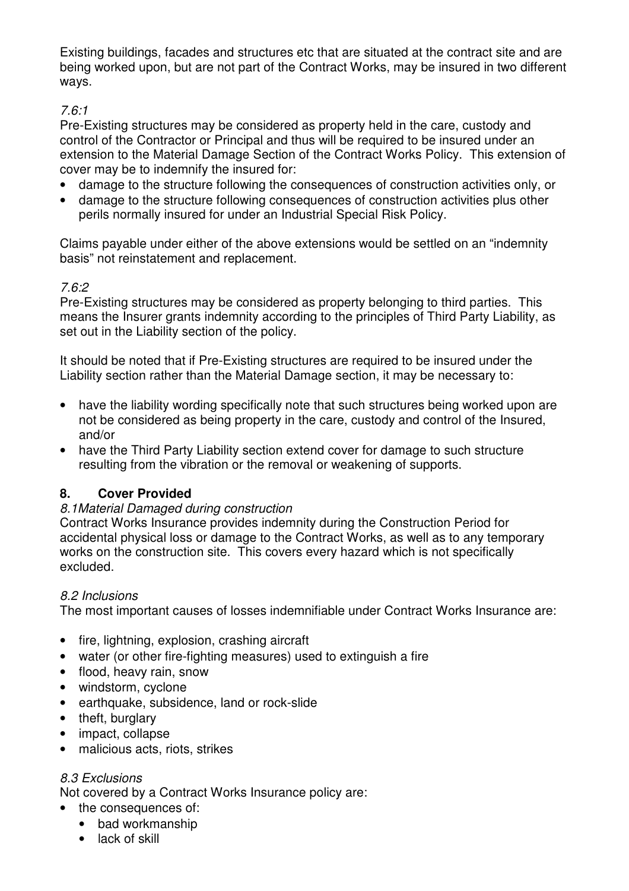Existing buildings, facades and structures etc that are situated at the contract site and are being worked upon, but are not part of the Contract Works, may be insured in two different ways.

### 7.6:1

Pre-Existing structures may be considered as property held in the care, custody and control of the Contractor or Principal and thus will be required to be insured under an extension to the Material Damage Section of the Contract Works Policy. This extension of cover may be to indemnify the insured for:

- damage to the structure following the consequences of construction activities only, or
- damage to the structure following consequences of construction activities plus other perils normally insured for under an Industrial Special Risk Policy.

Claims payable under either of the above extensions would be settled on an "indemnity basis" not reinstatement and replacement.

## 7.6:2

Pre-Existing structures may be considered as property belonging to third parties. This means the Insurer grants indemnity according to the principles of Third Party Liability, as set out in the Liability section of the policy.

It should be noted that if Pre-Existing structures are required to be insured under the Liability section rather than the Material Damage section, it may be necessary to:

- have the liability wording specifically note that such structures being worked upon are not be considered as being property in the care, custody and control of the Insured, and/or
- have the Third Party Liability section extend cover for damage to such structure resulting from the vibration or the removal or weakening of supports.

### **8. Cover Provided**

### 8.1Material Damaged during construction

Contract Works Insurance provides indemnity during the Construction Period for accidental physical loss or damage to the Contract Works, as well as to any temporary works on the construction site. This covers every hazard which is not specifically excluded.

### 8.2 Inclusions

The most important causes of losses indemnifiable under Contract Works Insurance are:

- fire, lightning, explosion, crashing aircraft
- water (or other fire-fighting measures) used to extinguish a fire
- flood, heavy rain, snow
- windstorm, cyclone
- earthquake, subsidence, land or rock-slide
- theft, burglary
- impact, collapse
- malicious acts, riots, strikes

### 8.3 Exclusions

Not covered by a Contract Works Insurance policy are:

- the consequences of:
	- bad workmanship
	- lack of skill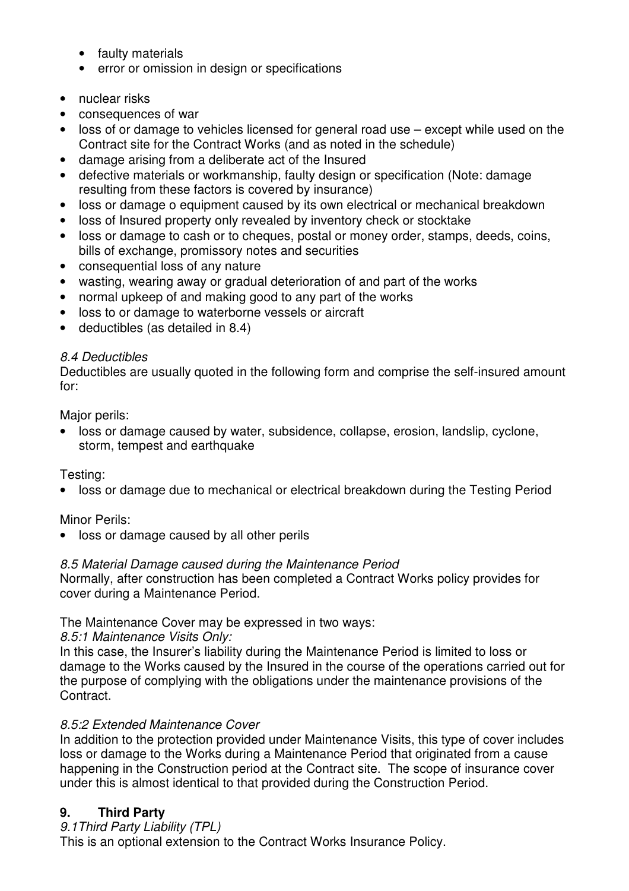- faulty materials
- error or omission in design or specifications
- nuclear risks
- consequences of war
- loss of or damage to vehicles licensed for general road use except while used on the Contract site for the Contract Works (and as noted in the schedule)
- damage arising from a deliberate act of the Insured
- defective materials or workmanship, faulty design or specification (Note: damage resulting from these factors is covered by insurance)
- loss or damage o equipment caused by its own electrical or mechanical breakdown
- loss of Insured property only revealed by inventory check or stocktake
- loss or damage to cash or to cheques, postal or money order, stamps, deeds, coins, bills of exchange, promissory notes and securities
- consequential loss of any nature
- wasting, wearing away or gradual deterioration of and part of the works
- normal upkeep of and making good to any part of the works
- loss to or damage to waterborne vessels or aircraft
- deductibles (as detailed in 8.4)

### 8.4 Deductibles

Deductibles are usually quoted in the following form and comprise the self-insured amount for:

Major perils:

• loss or damage caused by water, subsidence, collapse, erosion, landslip, cyclone, storm, tempest and earthquake

Testing:

• loss or damage due to mechanical or electrical breakdown during the Testing Period

Minor Perils:

• loss or damage caused by all other perils

### 8.5 Material Damage caused during the Maintenance Period

Normally, after construction has been completed a Contract Works policy provides for cover during a Maintenance Period.

### The Maintenance Cover may be expressed in two ways:

8.5:1 Maintenance Visits Only:

In this case, the Insurer's liability during the Maintenance Period is limited to loss or damage to the Works caused by the Insured in the course of the operations carried out for the purpose of complying with the obligations under the maintenance provisions of the Contract.

### 8.5:2 Extended Maintenance Cover

In addition to the protection provided under Maintenance Visits, this type of cover includes loss or damage to the Works during a Maintenance Period that originated from a cause happening in the Construction period at the Contract site. The scope of insurance cover under this is almost identical to that provided during the Construction Period.

# **9. Third Party**

9.1Third Party Liability (TPL) This is an optional extension to the Contract Works Insurance Policy.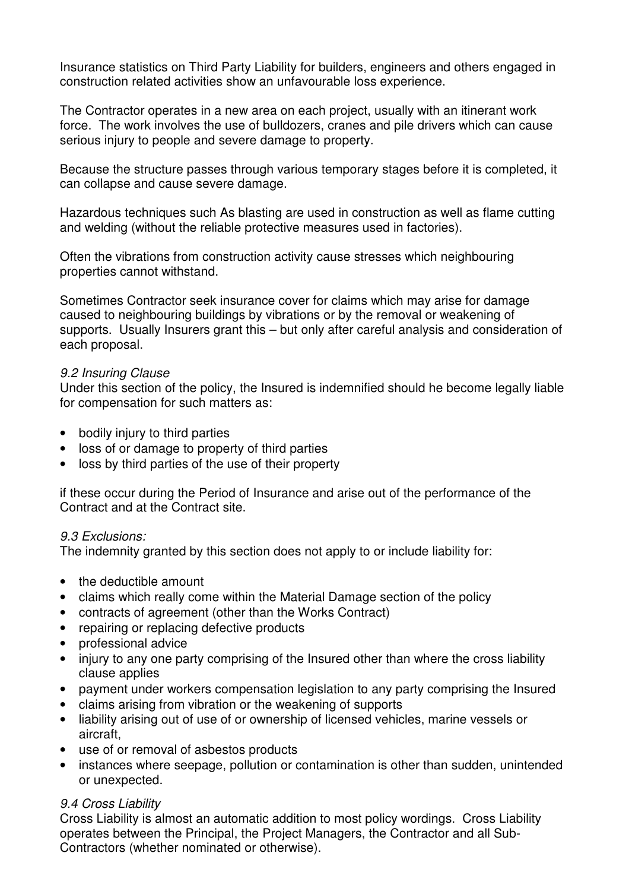Insurance statistics on Third Party Liability for builders, engineers and others engaged in construction related activities show an unfavourable loss experience.

The Contractor operates in a new area on each project, usually with an itinerant work force. The work involves the use of bulldozers, cranes and pile drivers which can cause serious injury to people and severe damage to property.

Because the structure passes through various temporary stages before it is completed, it can collapse and cause severe damage.

Hazardous techniques such As blasting are used in construction as well as flame cutting and welding (without the reliable protective measures used in factories).

Often the vibrations from construction activity cause stresses which neighbouring properties cannot withstand.

Sometimes Contractor seek insurance cover for claims which may arise for damage caused to neighbouring buildings by vibrations or by the removal or weakening of supports. Usually Insurers grant this – but only after careful analysis and consideration of each proposal.

#### 9.2 Insuring Clause

Under this section of the policy, the Insured is indemnified should he become legally liable for compensation for such matters as:

- bodily injury to third parties
- loss of or damage to property of third parties
- loss by third parties of the use of their property

if these occur during the Period of Insurance and arise out of the performance of the Contract and at the Contract site.

#### 9.3 Exclusions:

The indemnity granted by this section does not apply to or include liability for:

- the deductible amount
- claims which really come within the Material Damage section of the policy
- contracts of agreement (other than the Works Contract)
- repairing or replacing defective products
- professional advice
- injury to any one party comprising of the Insured other than where the cross liability clause applies
- payment under workers compensation legislation to any party comprising the Insured
- claims arising from vibration or the weakening of supports
- liability arising out of use of or ownership of licensed vehicles, marine vessels or aircraft,
- use of or removal of asbestos products
- instances where seepage, pollution or contamination is other than sudden, unintended or unexpected.

#### 9.4 Cross Liability

Cross Liability is almost an automatic addition to most policy wordings. Cross Liability operates between the Principal, the Project Managers, the Contractor and all Sub-Contractors (whether nominated or otherwise).